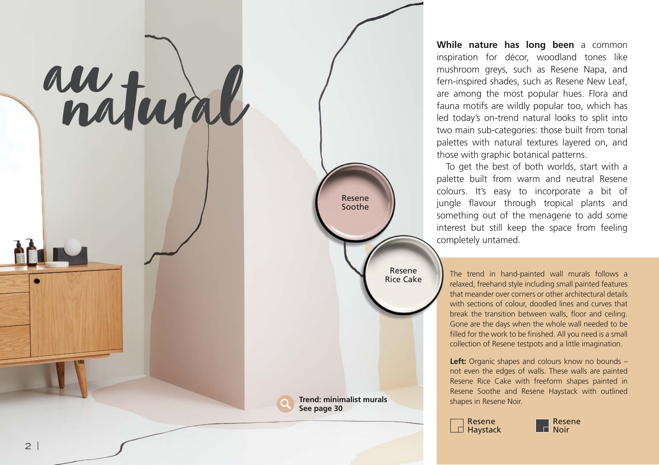## aunatural

**Trend: minimalist murals See page 30**

Resene Soothe

> Resene Rice Cake

**While nature has long been** a common inspiration for décor, woodland tones like mushroom greys, such as Resene Napa, and fern-inspired shades, such as Resene New Leaf, are among the most popular hues. Flora and fauna motifs are wildly popular too, which has led today's on-trend natural looks to split into two main sub-categories: those built from tonal palettes with natural textures layered on, and those with graphic botanical patterns.

To get the best of both worlds, start with a palette built from warm and neutral Resene colours. It's easy to incorporate a bit of jungle flavour through tropical plants and something out of the menagerie to add some interest but still keep the space from feeling completely untamed.

The trend in hand-painted wall murals follows a relaxed, freehand style including small painted features that meander over corners or other architectural details with sections of colour, doodled lines and curves that break the transition between walls, floor and ceiling. Gone are the days when the whole wall needed to be filled for the work to be finished. All you need is a small collection of Resene testpots and a little imagination.

Left: Organic shapes and colours know no bounds not even the edges of walls. These walls are painted Resene Rice Cake with freeform shapes painted in Resene Soothe and Resene Haystack with outlined shapes in Resene Noir.



Resene **Noir**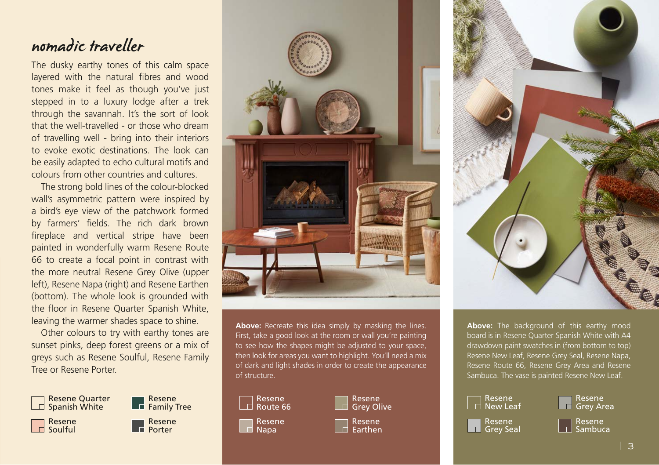## nomadic traveller

The dusky earthy tones of this calm space layered with the natural fibres and wood tones make it feel as though you've just stepped in to a luxury lodge after a trek through the savannah. It's the sort of look that the well-travelled - or those who dream of travelling well - bring into their interiors to evoke exotic destinations. The look can be easily adapted to echo cultural motifs and colours from other countries and cultures.

The strong bold lines of the colour-blocked wall's asymmetric pattern were inspired by a bird's eye view of the patchwork formed by farmers' fields. The rich dark brown fireplace and vertical stripe have been painted in wonderfully warm Resene Route 66 to create a focal point in contrast with the more neutral Resene Grey Olive (upper left), Resene Napa (right) and Resene Earthen (bottom). The whole look is grounded with the floor in Resene Quarter Spanish White, leaving the warmer shades space to shine.

Other colours to try with earthy tones are sunset pinks, deep forest greens or a mix of greys such as Resene Soulful, Resene Family Tree or Resene Porter.





Above: Recreate this idea simply by masking the lines. First, take a good look at the room or wall you're painting to see how the shapes might be adjusted to your space, then look for areas you want to highlight. You'll need a mix of dark and light shades in order to create the appearance of structure.









**Above:** The background of this earthy mood board is in Resene Quarter Spanish White with A4 drawdown paint swatches in (from bottom to top) Resene New Leaf, Resene Grey Seal, Resene Napa, Resene Route 66, Resene Grey Area and Resene Sambuca. The vase is painted Resene New Leaf.

| Resene<br>⊤ New Leaf       |
|----------------------------|
| Resene<br><b>Grey Seal</b> |



Resene  $\Box$ Sambuca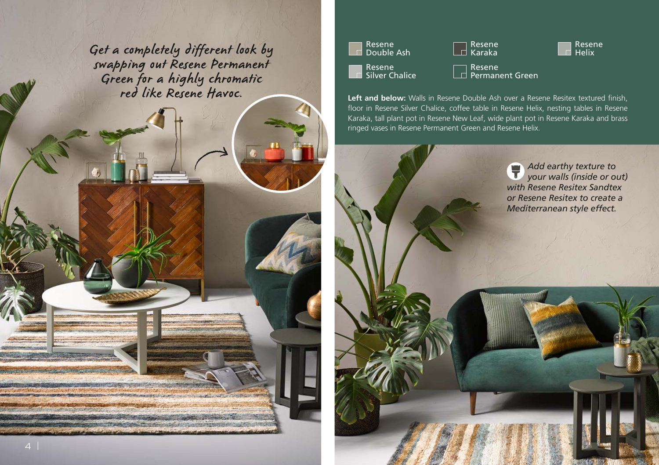Resene Get a completely different look by Helix swapping out Resene Permanent Green for a highly chromatic red like Resene Havoc.







Resene Silver Chalice Resene Permanent Green

**Left and below:** Walls in Resene Double Ash over a Resene Resitex textured finish, floor in Resene Silver Chalice, coffee table in Resene Helix, nesting tables in Resene Karaka, tall plant pot in Resene New Leaf, wide plant pot in Resene Karaka and brass ringed vases in Resene Permanent Green and Resene Helix.